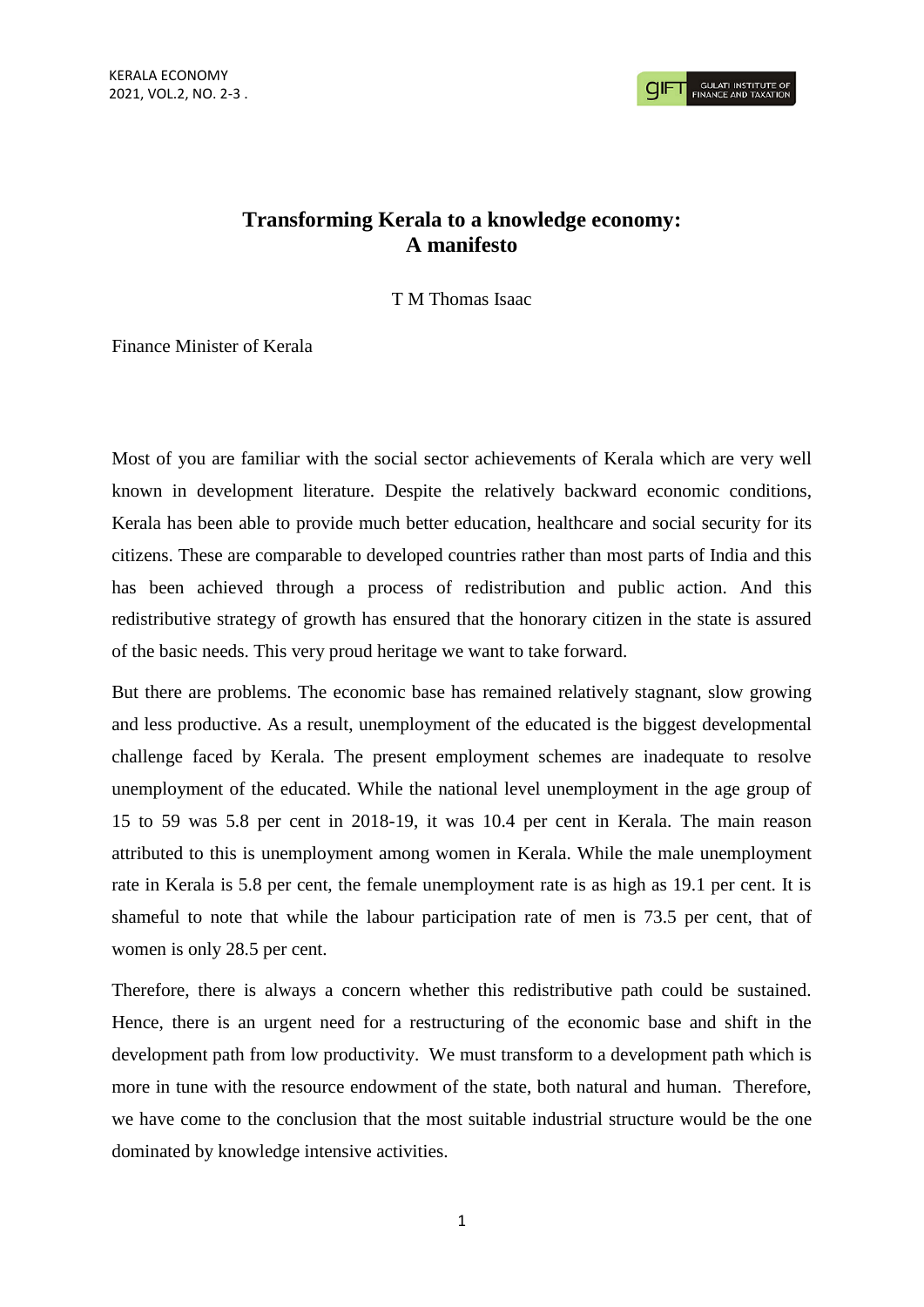## **Transforming Kerala to a knowledge economy: A manifesto**

T M Thomas Isaac

Finance Minister of Kerala

Most of you are familiar with the social sector achievements of Kerala which are very well known in development literature. Despite the relatively backward economic conditions, Kerala has been able to provide much better education, healthcare and social security for its citizens. These are comparable to developed countries rather than most parts of India and this has been achieved through a process of redistribution and public action. And this redistributive strategy of growth has ensured that the honorary citizen in the state is assured of the basic needs. This very proud heritage we want to take forward.

But there are problems. The economic base has remained relatively stagnant, slow growing and less productive. As a result, unemployment of the educated is the biggest developmental challenge faced by Kerala. The present employment schemes are inadequate to resolve unemployment of the educated. While the national level unemployment in the age group of 15 to 59 was 5.8 per cent in 2018-19, it was 10.4 per cent in Kerala. The main reason attributed to this is unemployment among women in Kerala. While the male unemployment rate in Kerala is 5.8 per cent, the female unemployment rate is as high as 19.1 per cent. It is shameful to note that while the labour participation rate of men is 73.5 per cent, that of women is only 28.5 per cent.

Therefore, there is always a concern whether this redistributive path could be sustained. Hence, there is an urgent need for a restructuring of the economic base and shift in the development path from low productivity. We must transform to a development path which is more in tune with the resource endowment of the state, both natural and human. Therefore, we have come to the conclusion that the most suitable industrial structure would be the one dominated by knowledge intensive activities.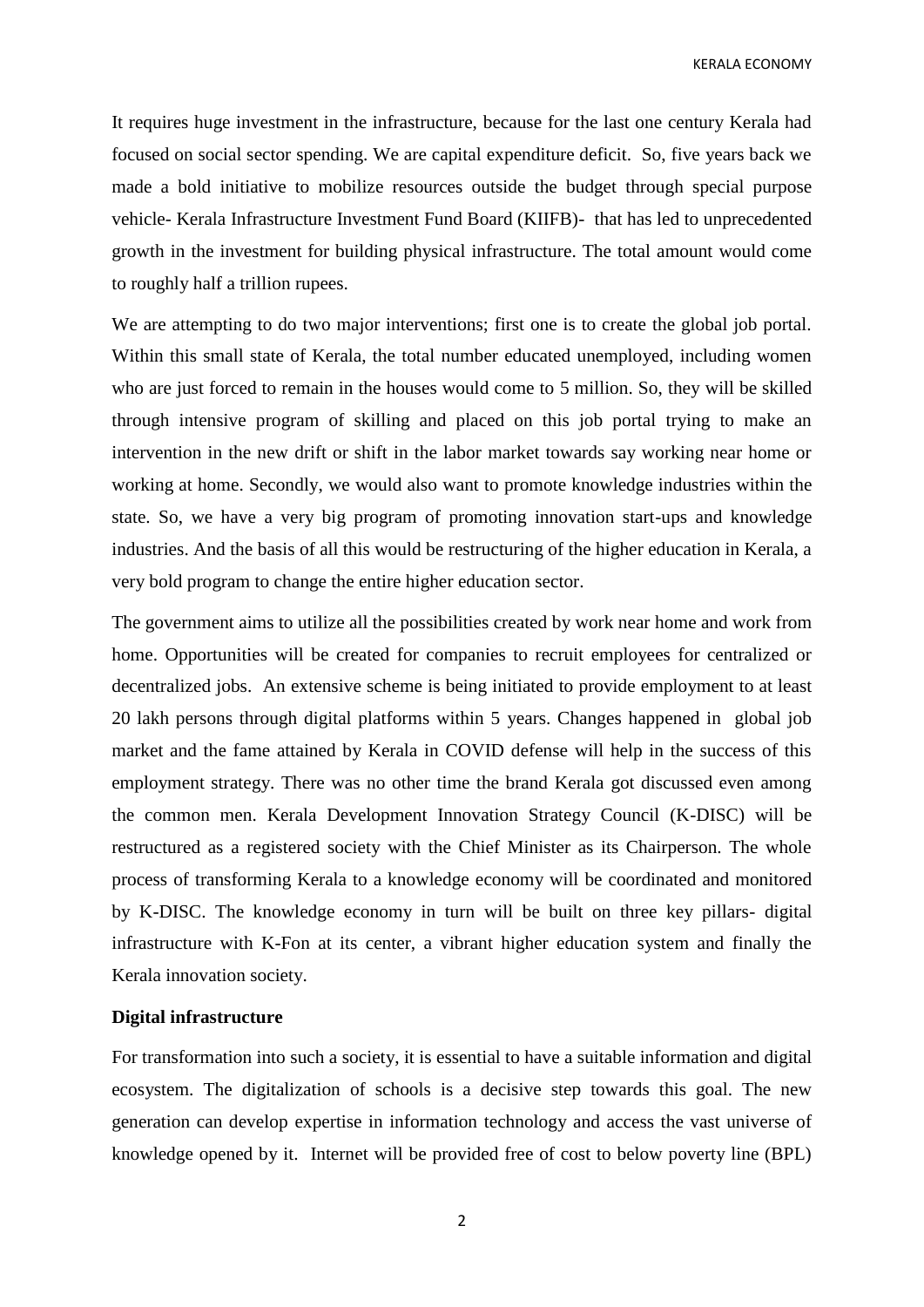KERALA ECONOMY

It requires huge investment in the infrastructure, because for the last one century Kerala had focused on social sector spending. We are capital expenditure deficit. So, five years back we made a bold initiative to mobilize resources outside the budget through special purpose vehicle- Kerala Infrastructure Investment Fund Board (KIIFB)- that has led to unprecedented growth in the investment for building physical infrastructure. The total amount would come to roughly half a trillion rupees.

We are attempting to do two major interventions; first one is to create the global job portal. Within this small state of Kerala, the total number educated unemployed, including women who are just forced to remain in the houses would come to 5 million. So, they will be skilled through intensive program of skilling and placed on this job portal trying to make an intervention in the new drift or shift in the labor market towards say working near home or working at home. Secondly, we would also want to promote knowledge industries within the state. So, we have a very big program of promoting innovation start-ups and knowledge industries. And the basis of all this would be restructuring of the higher education in Kerala, a very bold program to change the entire higher education sector.

The government aims to utilize all the possibilities created by work near home and work from home. Opportunities will be created for companies to recruit employees for centralized or decentralized jobs. An extensive scheme is being initiated to provide employment to at least 20 lakh persons through digital platforms within 5 years. Changes happened in global job market and the fame attained by Kerala in COVID defense will help in the success of this employment strategy. There was no other time the brand Kerala got discussed even among the common men. Kerala Development Innovation Strategy Council (K-DISC) will be restructured as a registered society with the Chief Minister as its Chairperson. The whole process of transforming Kerala to a knowledge economy will be coordinated and monitored by K-DISC. The knowledge economy in turn will be built on three key pillars- digital infrastructure with K-Fon at its center, a vibrant higher education system and finally the Kerala innovation society.

## **Digital infrastructure**

For transformation into such a society, it is essential to have a suitable information and digital ecosystem. The digitalization of schools is a decisive step towards this goal. The new generation can develop expertise in information technology and access the vast universe of knowledge opened by it. Internet will be provided free of cost to below poverty line (BPL)

2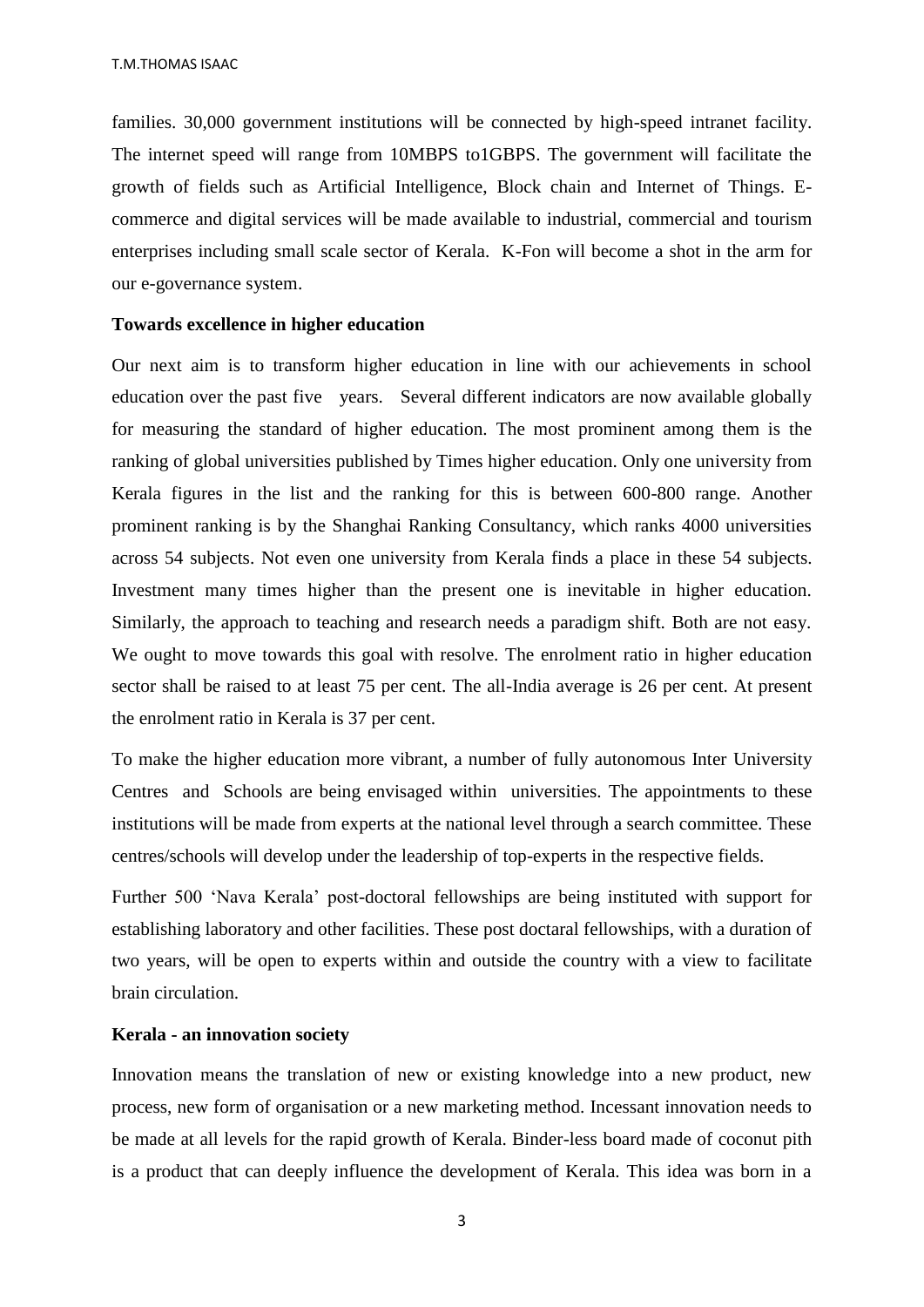families. 30,000 government institutions will be connected by high-speed intranet facility. The internet speed will range from 10MBPS to1GBPS. The government will facilitate the growth of fields such as Artificial Intelligence, Block chain and Internet of Things. Ecommerce and digital services will be made available to industrial, commercial and tourism enterprises including small scale sector of Kerala. K-Fon will become a shot in the arm for our e-governance system.

## **Towards excellence in higher education**

Our next aim is to transform higher education in line with our achievements in school education over the past five years. Several different indicators are now available globally for measuring the standard of higher education. The most prominent among them is the ranking of global universities published by Times higher education. Only one university from Kerala figures in the list and the ranking for this is between 600-800 range. Another prominent ranking is by the Shanghai Ranking Consultancy, which ranks 4000 universities across 54 subjects. Not even one university from Kerala finds a place in these 54 subjects. Investment many times higher than the present one is inevitable in higher education. Similarly, the approach to teaching and research needs a paradigm shift. Both are not easy. We ought to move towards this goal with resolve. The enrolment ratio in higher education sector shall be raised to at least 75 per cent. The all-India average is 26 per cent. At present the enrolment ratio in Kerala is 37 per cent.

To make the higher education more vibrant, a number of fully autonomous Inter University Centres and Schools are being envisaged within universities. The appointments to these institutions will be made from experts at the national level through a search committee. These centres/schools will develop under the leadership of top-experts in the respective fields.

Further 500 'Nava Kerala' post-doctoral fellowships are being instituted with support for establishing laboratory and other facilities. These post doctaral fellowships, with a duration of two years, will be open to experts within and outside the country with a view to facilitate brain circulation.

## **Kerala - an innovation society**

Innovation means the translation of new or existing knowledge into a new product, new process, new form of organisation or a new marketing method. Incessant innovation needs to be made at all levels for the rapid growth of Kerala. Binder-less board made of coconut pith is a product that can deeply influence the development of Kerala. This idea was born in a